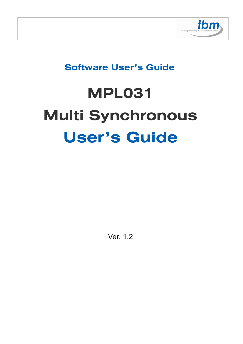

# **Software User's Guide**

# **MPL031 Multi Synchronous User's Guide**

Ver. 1.2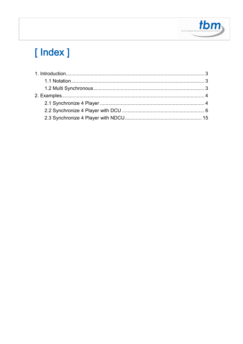

# [Index]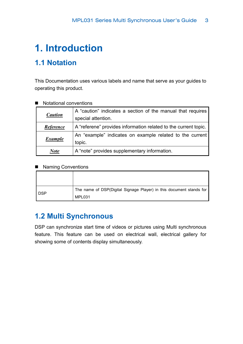# **1. Introduction**

### **1.1 Notation**

This Documentation uses various labels and name that serve as your guides to operating this product.

| <b>Caution</b> | A "caution" indicates a section of the manual that requires<br>special attention. |
|----------------|-----------------------------------------------------------------------------------|
| Reference      | A "referene" provides information related to the current topic.                   |
| <b>Example</b> | An "example" indicates on example related to the current<br>topic.                |
| <b>Note</b>    | A "note" provides supplementary information.                                      |

#### ■ Notational conventions

#### ■ Naming Conventions

| <b>DSP</b> | The name of DSP(Digital Signage Player) in this document stands for |
|------------|---------------------------------------------------------------------|
|            | MPL031                                                              |

### **1.2 Multi Synchronous**

DSP can synchronize start time of videos or pictures using Multi synchronous feature. This feature can be used on electrical wall, electrical gallery for showing some of contents display simultaneously.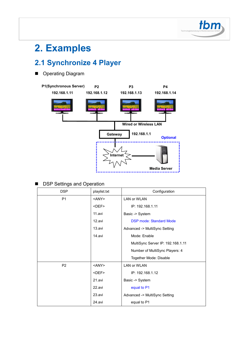

# **2. Examples**

## **2.1 Synchronize 4 Player**

**Diagram** 



#### **DSP Settings and Operation**

| <b>DSP</b>     | playlist.txt | Configuration                     |
|----------------|--------------|-----------------------------------|
| P <sub>1</sub> | $<$ ANY $>$  | LAN or WLAN                       |
|                | $<$ DEF $>$  | IP: 192.168.1.11                  |
|                | 11.avi       | Basic -> System                   |
|                | 12.avi       | <b>DSP mode: Standard Mode</b>    |
|                | 13.avi       | Advanced -> MultiSync Setting     |
|                | 14.avi       | Mode: Enable                      |
|                |              | MultiSync Server IP: 192.168.1.11 |
|                |              | Number of MultiSync Players: 4    |
|                |              | Together Mode: Disable            |
| P <sub>2</sub> | $<$ ANY $>$  | <b>LAN or WLAN</b>                |
|                | $<$ DEF $>$  | IP: 192.168.1.12                  |
|                | 21.avi       | Basic -> System                   |
|                | 22.avi       | equal to P1                       |
|                | 23.avi       | Advanced -> MultiSync Setting     |
|                | 24.avi       | equal to P1                       |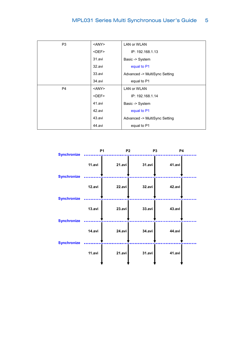| P <sub>3</sub> | $<$ ANY $>$ | <b>LAN or WLAN</b>            |
|----------------|-------------|-------------------------------|
|                | $<$ DEF $>$ | IP: 192.168.1.13              |
|                | 31.avi      | Basic -> System               |
|                | 32.avi      | equal to P1                   |
|                | 33.avi      | Advanced -> MultiSync Setting |
|                | 34.avi      | equal to P1                   |
| P <sub>4</sub> | $<$ ANY $>$ | <b>LAN or WLAN</b>            |
|                | $<$ DEF $>$ | IP: 192.168.1.14              |
|                | 41.avi      | Basic -> System               |
|                | 42.avi      | equal to P1                   |
|                | 43.avi      | Advanced -> MultiSync Setting |
|                | 44.avi      | equal to P1                   |

| <b>Synchronize</b>                       |        | P <sub>1</sub><br>P <sub>2</sub> |               | <b>P4</b><br>P <sub>3</sub> |  |
|------------------------------------------|--------|----------------------------------|---------------|-----------------------------|--|
| <b>Synchronize</b>                       | 11.avi | 21.avi                           | 31.avi        | 41.avi                      |  |
|                                          | 12.avi | 22.avi                           | 32.avi        | 42.avi                      |  |
| <b>Synchronize</b>                       | 13.avi | 23.avi                           | 33.avi        | 43.avi                      |  |
| <b>Synchronize</b><br><b>Synchronize</b> | 14.avi | 24.avi                           | <b>34.avi</b> | 44.avi                      |  |
|                                          | 11.avi | 21.avi                           | 31.avi        | 41.avi                      |  |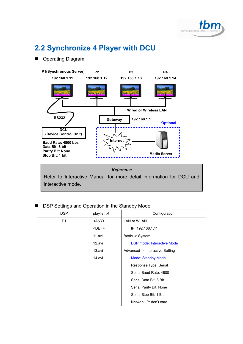

# **2.2 Synchronize 4 Player with DCU**

#### **Diagram**



#### *Reference*

Refer to Interactive Manual for more detail information for DCU and interactive mode.

#### ■ DSP Settings and Operation in the Standby Mode

| <b>DSP</b>     | playlist.txt | Configuration                     |
|----------------|--------------|-----------------------------------|
| P <sub>1</sub> | <any></any>  | LAN or WLAN                       |
|                | <def></def>  | IP: 192.168.1.11                  |
|                | 11.avi       | Basic -> System                   |
|                | 12.avi       | <b>DSP mode: Interactive Mode</b> |
|                | 13.avi       | Advanced -> Interactive Setting   |
|                | 14.avi       | <b>Mode: Standby Mode</b>         |
|                |              | Response Type: Serial             |
|                |              | Serial Baud Rate: 4800            |
|                |              | Serial Data Bit: 8 Bit            |
|                |              | Serial Parity Bit: None           |
|                |              | Serial Stop Bit: 1 Bit            |
|                |              | Network IP: don't care            |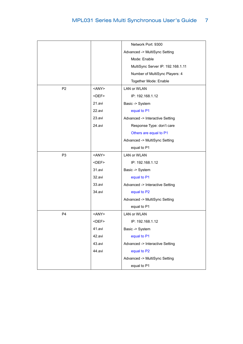|                |             | Network Port: 9300                |
|----------------|-------------|-----------------------------------|
|                |             | Advanced -> MultiSync Setting     |
|                |             | Mode: Enable                      |
|                |             | MultiSync Server IP: 192.168.1.11 |
|                |             | Number of MultiSync Players: 4    |
|                |             | Together Mode: Enable             |
| P <sub>2</sub> | <any></any> | <b>LAN or WLAN</b>                |
|                | <def></def> | IP: 192.168.1.12                  |
|                | 21.avi      | Basic -> System                   |
|                | 22.avi      | equal to P1                       |
|                | 23.avi      | Advanced -> Interactive Setting   |
|                | 24.avi      | Response Type: don't care         |
|                |             | Others are equal to P1            |
|                |             | Advanced -> MultiSync Setting     |
|                |             | equal to P1                       |
| P <sub>3</sub> | <any></any> | LAN or WLAN                       |
|                | <def></def> | IP: 192.168.1.12                  |
|                | 31.avi      | Basic -> System                   |
|                | 32.avi      | equal to P1                       |
|                | 33.avi      | Advanced -> Interactive Setting   |
|                | 34.avi      | equal to P2                       |
|                |             | Advanced -> MultiSync Setting     |
|                |             | equal to P1                       |
| P <sub>4</sub> | <any></any> | <b>LAN or WLAN</b>                |
|                | <def></def> | IP: 192.168.1.12                  |
|                | 41.avi      | Basic -> System                   |
|                | 42.avi      | equal to P1                       |
|                | 43.avi      | Advanced -> Interactive Setting   |
|                | 44.avi      | equal to P2                       |
|                |             | Advanced -> MultiSync Setting     |
|                |             | equal to P1                       |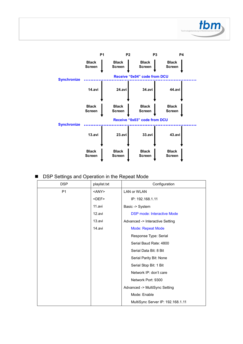



|  |  | DSP Settings and Operation in the Repeat Mode |  |  |  |  |  |
|--|--|-----------------------------------------------|--|--|--|--|--|
|--|--|-----------------------------------------------|--|--|--|--|--|

| <b>DSP</b>     | playlist.txt | Configuration                     |
|----------------|--------------|-----------------------------------|
| P <sub>1</sub> | <any></any>  | LAN or WLAN                       |
|                | $<$ DEF $>$  | IP: 192.168.1.11                  |
|                | 11.avi       | Basic -> System                   |
|                | 12.avi       | <b>DSP mode: Interactive Mode</b> |
|                | 13.avi       | Advanced -> Interactive Setting   |
|                | 14.avi       | <b>Mode: Repeat Mode</b>          |
|                |              | Response Type: Serial             |
|                |              | Serial Baud Rate: 4800            |
|                |              | Serial Data Bit: 8 Bit            |
|                |              | Serial Parity Bit: None           |
|                |              | Serial Stop Bit: 1 Bit            |
|                |              | Network IP: don't care            |
|                |              | Network Port: 9300                |
|                |              | Advanced -> MultiSync Setting     |
|                |              | Mode: Enable                      |
|                |              | MultiSync Server IP: 192.168.1.11 |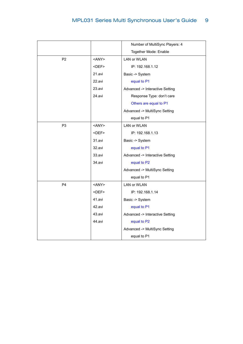|                |             | Number of MultiSync Players: 4  |
|----------------|-------------|---------------------------------|
|                |             | Together Mode: Enable           |
| P <sub>2</sub> | $<$ ANY $>$ | <b>LAN or WLAN</b>              |
|                | $<$ DEF $>$ | IP: 192.168.1.12                |
|                | 21.avi      | Basic -> System                 |
|                | 22.avi      | equal to P1                     |
|                | 23.avi      | Advanced -> Interactive Setting |
|                | 24.avi      | Response Type: don't care       |
|                |             | Others are equal to P1          |
|                |             | Advanced -> MultiSync Setting   |
|                |             | equal to P1                     |
| P <sub>3</sub> | <any></any> | <b>LAN or WLAN</b>              |
|                | $<$ DEF $>$ | IP: 192.168.1.13                |
|                | 31.avi      | Basic -> System                 |
|                | 32.avi      | equal to P1                     |
|                | 33.avi      | Advanced -> Interactive Setting |
|                | 34.avi      | equal to P2                     |
|                |             | Advanced -> MultiSync Setting   |
|                |             | equal to P1                     |
| P4             | <any></any> | <b>LAN or WLAN</b>              |
|                | $<$ DEF $>$ | IP: 192.168.1.14                |
|                | 41.avi      | Basic -> System                 |
|                | 42.avi      | equal to P1                     |
|                | 43.avi      | Advanced -> Interactive Setting |
|                | 44.avi      | equal to P2                     |
|                |             | Advanced -> MultiSync Setting   |
|                |             | equal to P1                     |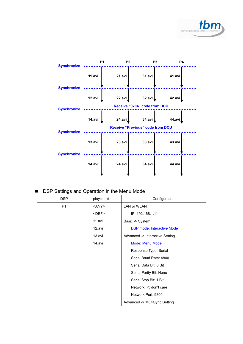



■ DSP Settings and Operation in the Menu Mode

| <b>DSP</b>     | playlist.txt | Configuration                     |
|----------------|--------------|-----------------------------------|
| P <sub>1</sub> | <any></any>  | <b>LAN or WLAN</b>                |
|                | <def></def>  | IP: 192.168.1.11                  |
|                | 11.avi       | Basic -> System                   |
|                | 12.avi       | <b>DSP mode: Interactive Mode</b> |
|                | 13.avi       | Advanced -> Interactive Setting   |
|                | 14.avi       | <b>Mode: Menu Mode</b>            |
|                |              | Response Type: Serial             |
|                |              | Serial Baud Rate: 4800            |
|                |              | Serial Data Bit: 8 Bit            |
|                |              | Serial Parity Bit: None           |
|                |              | Serial Stop Bit: 1 Bit            |
|                |              | Network IP: don't care            |
|                |              | Network Port: 9300                |
|                |              | Advanced -> MultiSync Setting     |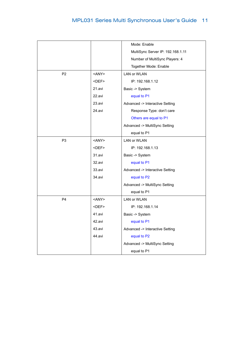|                |             | Mode: Enable                      |
|----------------|-------------|-----------------------------------|
|                |             | MultiSync Server IP: 192.168.1.11 |
|                |             | Number of MultiSync Players: 4    |
|                |             | Together Mode: Enable             |
| P <sub>2</sub> | <any></any> | <b>LAN or WLAN</b>                |
|                | $<$ DEF $>$ | IP: 192.168.1.12                  |
|                | 21.avi      | Basic -> System                   |
|                | 22.avi      | equal to P1                       |
|                | 23.avi      | Advanced -> Interactive Setting   |
|                | 24.avi      | Response Type: don't care         |
|                |             | Others are equal to P1            |
|                |             | Advanced -> MultiSync Setting     |
|                |             | equal to P1                       |
| P <sub>3</sub> | $<$ ANY $>$ | <b>LAN or WLAN</b>                |
|                | $<$ DEF $>$ | IP: 192.168.1.13                  |
|                | 31.avi      | Basic -> System                   |
|                | 32.avi      | equal to P1                       |
|                | 33.avi      | Advanced -> Interactive Setting   |
|                | 34.avi      | equal to P2                       |
|                |             | Advanced -> MultiSync Setting     |
|                |             | equal to P1                       |
| P <sub>4</sub> | $<$ ANY $>$ | LAN or WLAN                       |
|                | <def></def> | IP: 192.168.1.14                  |
|                | 41.avi      | Basic -> System                   |
|                | 42.avi      | equal to P1                       |
|                | 43.avi      | Advanced -> Interactive Setting   |
|                | 44.avi      | equal to P2                       |
|                |             | Advanced -> MultiSync Setting     |
|                |             | equal to P1                       |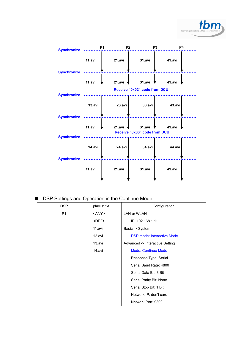



■ DSP Settings and Operation in the Continue Mode

| DSP | playlist.txt | Configuration                     |
|-----|--------------|-----------------------------------|
| P1  | $<$ ANY $>$  | <b>LAN or WLAN</b>                |
|     | $<$ DEF $>$  | IP: 192.168.1.11                  |
|     | 11.avi       | Basic -> System                   |
|     | 12.avi       | <b>DSP mode: Interactive Mode</b> |
|     | 13.avi       | Advanced -> Interactive Setting   |
|     | 14.avi       | <b>Mode: Continue Mode</b>        |
|     |              | Response Type: Serial             |
|     |              | Serial Baud Rate: 4800            |
|     |              | Serial Data Bit: 8 Bit            |
|     |              | Serial Parity Bit: None           |
|     |              | Serial Stop Bit: 1 Bit            |
|     |              | Network IP: don't care            |
|     |              | Network Port: 9300                |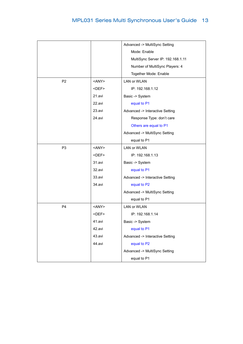|                |             | Advanced -> MultiSync Setting     |
|----------------|-------------|-----------------------------------|
|                |             | Mode: Enable                      |
|                |             | MultiSync Server IP: 192.168.1.11 |
|                |             | Number of MultiSync Players: 4    |
|                |             | Together Mode: Enable             |
| P <sub>2</sub> | <any></any> | LAN or WLAN                       |
|                | <def></def> | IP: 192.168.1.12                  |
|                | 21.avi      | Basic -> System                   |
|                | 22.avi      | equal to P1                       |
|                | 23.avi      | Advanced -> Interactive Setting   |
|                | 24.avi      | Response Type: don't care         |
|                |             | Others are equal to P1            |
|                |             | Advanced -> MultiSync Setting     |
|                |             | equal to P1                       |
| P <sub>3</sub> | <any></any> | LAN or WLAN                       |
|                | <def></def> | IP: 192.168.1.13                  |
|                | 31.avi      | Basic -> System                   |
|                | 32.avi      | equal to P1                       |
|                | 33.avi      | Advanced -> Interactive Setting   |
|                | 34.avi      | equal to P2                       |
|                |             | Advanced -> MultiSync Setting     |
|                |             | equal to P1                       |
| P <sub>4</sub> | <any></any> | LAN or WLAN                       |
|                | <def></def> | IP: 192.168.1.14                  |
|                | 41.avi      | Basic -> System                   |
|                | 42.avi      | equal to P1                       |
|                | 43.avi      | Advanced -> Interactive Setting   |
|                | 44.avi      | equal to P2                       |
|                |             | Advanced -> MultiSync Setting     |
|                |             | equal to P1                       |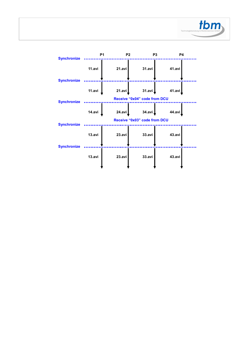

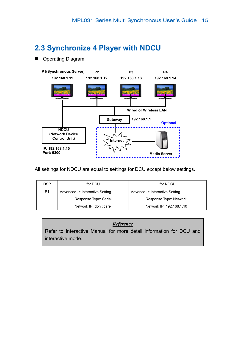### **2.3 Synchronize 4 Player with NDCU**

**Derating Diagram** 



All settings for NDCU are equal to settings for DCU except below settings.

| DSP            | for DCU                         | for NDCU                       |
|----------------|---------------------------------|--------------------------------|
| P <sub>1</sub> | Advanced -> Interactive Setting | Advance -> Interactive Setting |
|                | Response Type: Serial           | Response Type: Network         |
|                | Network IP: don't care          | Network IP: 192.168.1.10       |

#### *Reference*

Refer to Interactive Manual for more detail information for DCU and interactive mode.